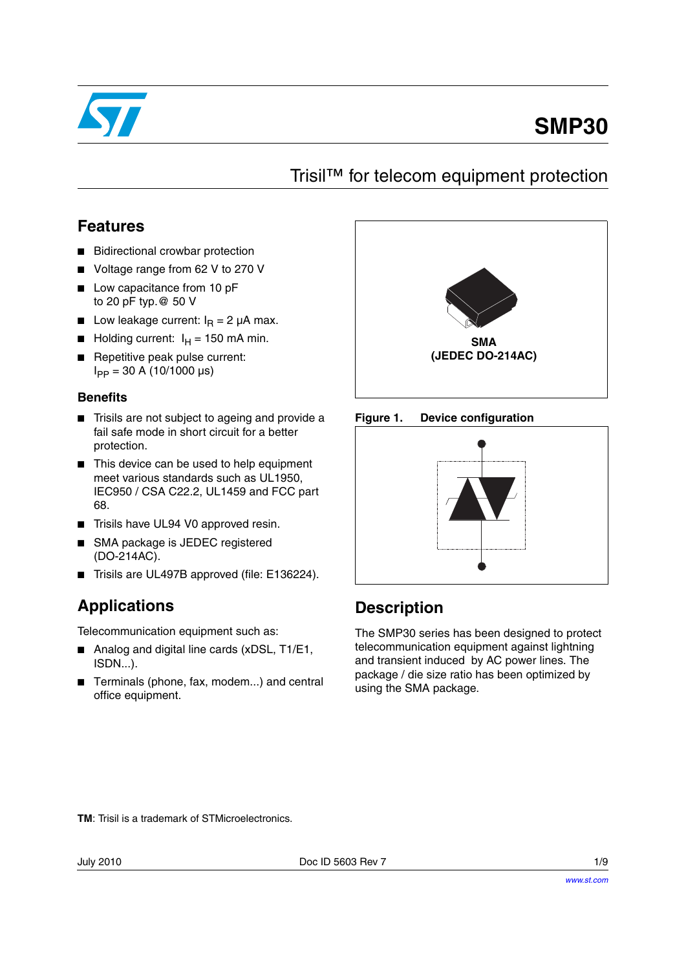

# **SMP30**

### Trisil™ for telecom equipment protection

### **Features**

- **Bidirectional crowbar protection**
- Voltage range from 62 V to 270 V
- Low capacitance from 10 pF to 20 pF typ.@ 50 V
- **■** Low leakage current:  $I<sub>R</sub> = 2 \mu A$  max.
- Holding current:  $I_H = 150$  mA min.
- Repetitive peak pulse current:  $I_{PP} = 30$  A (10/1000 µs)

### **Benefits**

- Trisils are not subject to ageing and provide a fail safe mode in short circuit for a better protection.
- This device can be used to help equipment meet various standards such as UL1950, IEC950 / CSA C22.2, UL1459 and FCC part 68.
- Trisils have UL94 V0 approved resin.
- SMA package is JEDEC registered (DO-214AC).
- Trisils are UL497B approved (file: E136224).

### **Applications**

Telecommunication equipment such as:

- Analog and digital line cards (xDSL, T1/E1, ISDN...).
- Terminals (phone, fax, modem...) and central office equipment.







### **Description**

The SMP30 series has been designed to protect telecommunication equipment against lightning and transient induced by AC power lines. The package / die size ratio has been optimized by using the SMA package.

**TM**: Trisil is a trademark of STMicroelectronics.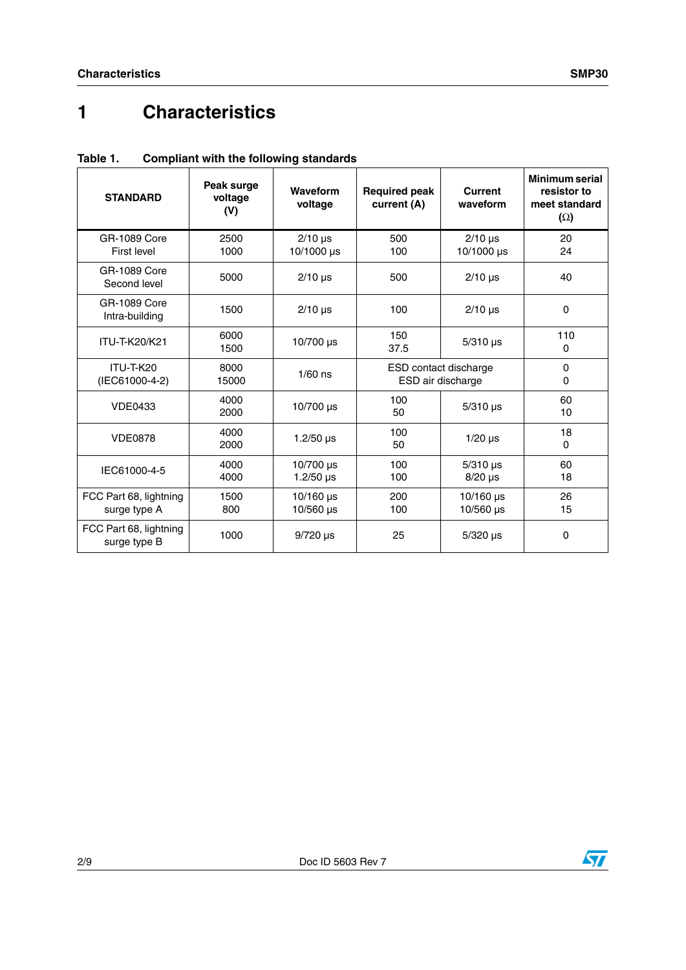# **1 Characteristics**

| <b>STANDARD</b>                        | Peak surge<br>voltage<br>(V) | Waveform<br>voltage             | <b>Required peak</b><br>current (A)        | Current<br>waveform        | Minimum serial<br>resistor to<br>meet standard<br>$(\Omega)$ |
|----------------------------------------|------------------------------|---------------------------------|--------------------------------------------|----------------------------|--------------------------------------------------------------|
| GR-1089 Core<br>First level            | 2500<br>1000                 | $2/10$ µs<br>10/1000 µs         | 500<br>100                                 | $2/10$ µs<br>10/1000 µs    | 20<br>24                                                     |
| <b>GR-1089 Core</b><br>Second level    | 5000                         | $2/10$ µs                       | 500                                        | $2/10$ µs                  | 40                                                           |
| GR-1089 Core<br>Intra-building         | 1500                         | $2/10$ µs                       | 100                                        | $2/10$ µs                  | $\Omega$                                                     |
| ITU-T-K20/K21                          | 6000<br>1500                 | 10/700 us                       | 150<br>37.5                                | $5/310$ µs                 | 110<br>0                                                     |
| ITU-T-K20<br>(IEC61000-4-2)            | 8000<br>15000                | $1/60$ ns                       | ESD contact discharge<br>ESD air discharge |                            | $\Omega$<br>$\Omega$                                         |
| <b>VDE0433</b>                         | 4000<br>2000                 | 10/700 µs                       | 100<br>50                                  | $5/310$ µs                 | 60<br>10                                                     |
| <b>VDE0878</b>                         | 4000<br>2000                 | $1.2/50 \,\mu s$                | 100<br>50                                  | $1/20$ µs                  | 18<br>$\Omega$                                               |
| IEC61000-4-5                           | 4000<br>4000                 | 10/700 µs<br>1.2/50 $\mu$ s     | 100<br>$5/310$ µs<br>100<br>$8/20$ µs      |                            | 60<br>18                                                     |
| FCC Part 68, lightning<br>surge type A | 1500<br>800                  | $10/160$ µs<br>$10/560 \,\mu s$ | 200<br>100                                 | $10/160$ µs<br>$10/560$ µs | 26<br>15                                                     |
| FCC Part 68, lightning<br>surge type B | 1000                         | $9/720$ µs                      | 25                                         | $5/320$ µs                 | $\Omega$                                                     |

**Table 1. Compliant with the following standards**

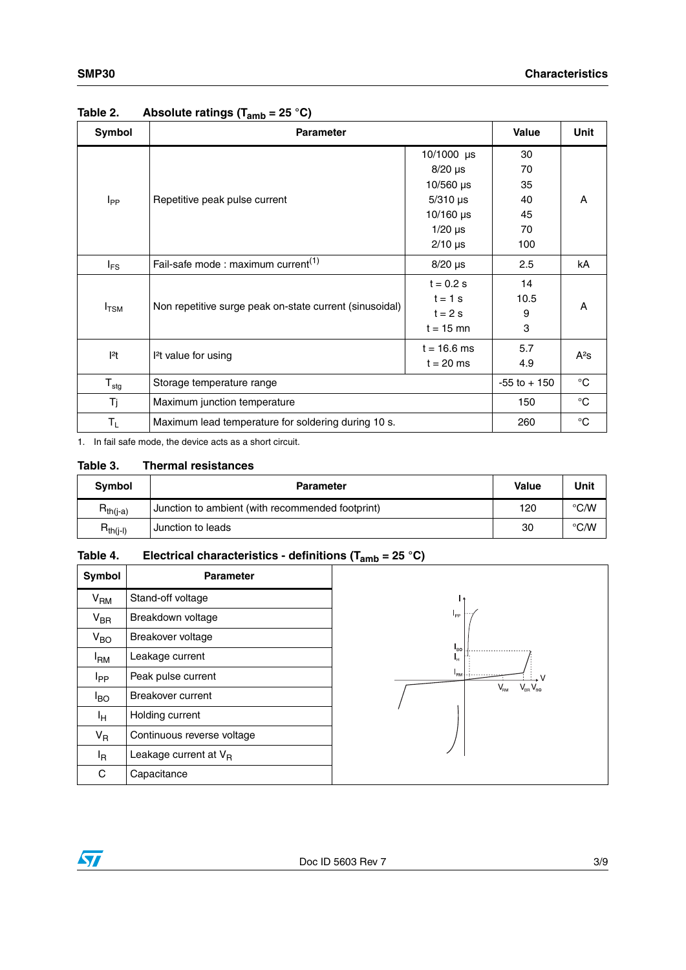| Symbol           | <b>Parameter</b>                                        | <b>Value</b>     | <b>Unit</b>  |        |  |
|------------------|---------------------------------------------------------|------------------|--------------|--------|--|
|                  |                                                         | 10/1000 $\mu$ s  | 30           |        |  |
|                  |                                                         | $8/20 \mu s$     | 70           |        |  |
|                  |                                                         | $10/560 \,\mu s$ | 35           |        |  |
| $I_{PP}$         | Repetitive peak pulse current                           | $5/310$ µs       | 40           | A      |  |
|                  |                                                         | $10/160 \,\mu s$ | 45           |        |  |
|                  |                                                         | $1/20$ µs        | 70           |        |  |
|                  |                                                         | $2/10$ µs        | 100          |        |  |
| $I_{FS}$         | Fail-safe mode : maximum current <sup>(1)</sup>         | $8/20$ µs        | 2.5          | kA     |  |
| $I_{\text{TSM}}$ |                                                         | $t = 0.2 s$      | 14           | A      |  |
|                  | Non repetitive surge peak on-state current (sinusoidal) | $t = 1$ s        | 10.5         |        |  |
|                  |                                                         | $t = 2s$         | 9            |        |  |
|                  |                                                         | $t = 15$ mn      | 3            |        |  |
| $ ^{2}t $        | <sup>2</sup> t value for using                          | $t = 16.6$ ms    | 5.7          | $A^2S$ |  |
|                  |                                                         | $t = 20$ ms      | 4.9          |        |  |
| $T_{\text{stg}}$ | Storage temperature range                               | $-55$ to $+150$  | $^{\circ}$ C |        |  |
| Tj               | Maximum junction temperature                            | 150              | $^{\circ}$ C |        |  |
| $T_{L}$          | Maximum lead temperature for soldering during 10 s.     | 260              | $^{\circ}C$  |        |  |

### **Table 2. Absolute ratings (Tamb = 25 °C)**

1. In fail safe mode, the device acts as a short circuit.

#### **Table 3. Thermal resistances**

| Symbol        | <b>Parameter</b>                                 | Value | Unit          |
|---------------|--------------------------------------------------|-------|---------------|
| $R_{th(i-a)}$ | Junction to ambient (with recommended footprint) | 120   | $\degree$ C/W |
| $R_{th(j-l)}$ | Junction to leads                                | 30    | °C/W          |

### **Table 4. Electrical characteristics - definitions (Tamb = 25 °C)**

| <b>Symbol</b>   | Parameter                  |  |  |  |
|-----------------|----------------------------|--|--|--|
| V <sub>RM</sub> | Stand-off voltage          |  |  |  |
| $V_{BR}$        | Breakdown voltage          |  |  |  |
| $V_{BO}$        | Breakover voltage          |  |  |  |
| l <sub>RM</sub> | Leakage current            |  |  |  |
| Ipp             | Peak pulse current         |  |  |  |
| l <sub>BO</sub> | <b>Breakover current</b>   |  |  |  |
| Iн              | Holding current            |  |  |  |
| V <sub>R</sub>  | Continuous reverse voltage |  |  |  |
| ΙŖ              | Leakage current at VR      |  |  |  |
| C.              | Capacitance                |  |  |  |

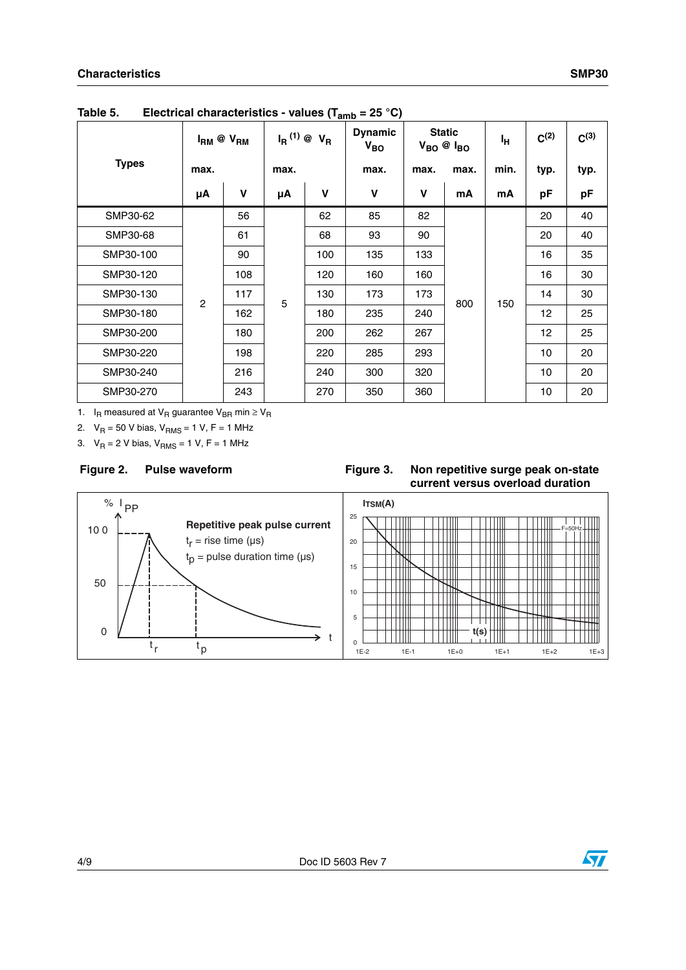|              |                | $I_{RM}$ @ $V_{RM}$ |      | <b>Dynamic</b><br>$I_R^{(1)}$ @ $V_R$<br>$V_{BO}$ |      | <b>Static</b><br>$V_{BO}$ @ $I_{BO}$ |      | ŀн   | $C^{(2)}$         | $C^{(3)}$ |
|--------------|----------------|---------------------|------|---------------------------------------------------|------|--------------------------------------|------|------|-------------------|-----------|
| <b>Types</b> | max.           |                     | max. |                                                   | max. | max.                                 | max. | min. | typ.              | typ.      |
|              | μA             | $\mathbf v$         | μA   | $\mathbf v$                                       | V    | $\mathbf v$                          | mA   | mA   | pF                | pF        |
| SMP30-62     |                | 56                  |      | 62                                                | 85   | 82                                   |      |      | 20                | 40        |
| SMP30-68     |                | 61                  | 5    | 68                                                | 93   | 90                                   | 800  | 150  | 20                | 40        |
| SMP30-100    | $\overline{c}$ | 90                  |      | 100                                               | 135  | 133                                  |      |      | 16                | 35        |
| SMP30-120    |                | 108                 |      | 120                                               | 160  | 160                                  |      |      | 16                | 30        |
| SMP30-130    |                | 117                 |      | 130                                               | 173  | 173                                  |      |      | 14                | 30        |
| SMP30-180    |                | 162                 |      | 180                                               | 235  | 240                                  |      |      | 12                | 25        |
| SMP30-200    |                | 180                 |      | 200                                               | 262  | 267                                  |      |      | $12 \overline{ }$ | 25        |
| SMP30-220    |                | 198                 |      | 220                                               | 285  | 293                                  |      |      | 10                | 20        |
| SMP30-240    |                | 216                 |      | 240                                               | 300  | 320                                  |      |      | 10                | 20        |
| SMP30-270    |                | 243                 |      | 270                                               | 350  | 360                                  |      |      | 10                | 20        |

**Table 5. Electrical characteristics - values (Tamb = 25 °C)**

1. I<sub>R</sub> measured at V<sub>R</sub> guarantee V<sub>BR</sub> min  $\geq$  V<sub>R</sub>

2.  $V_R = 50$  V bias,  $V_{RMS} = 1$  V, F = 1 MHz

3.  $V_R = 2 V$  bias,  $V_{RMS} = 1 V$ , F = 1 MHz

#### **Pulse waveform**

#### Figure 2. Pulse waveform **Figure 3.** Non repetitive surge peak on-state **current versus overload duration**



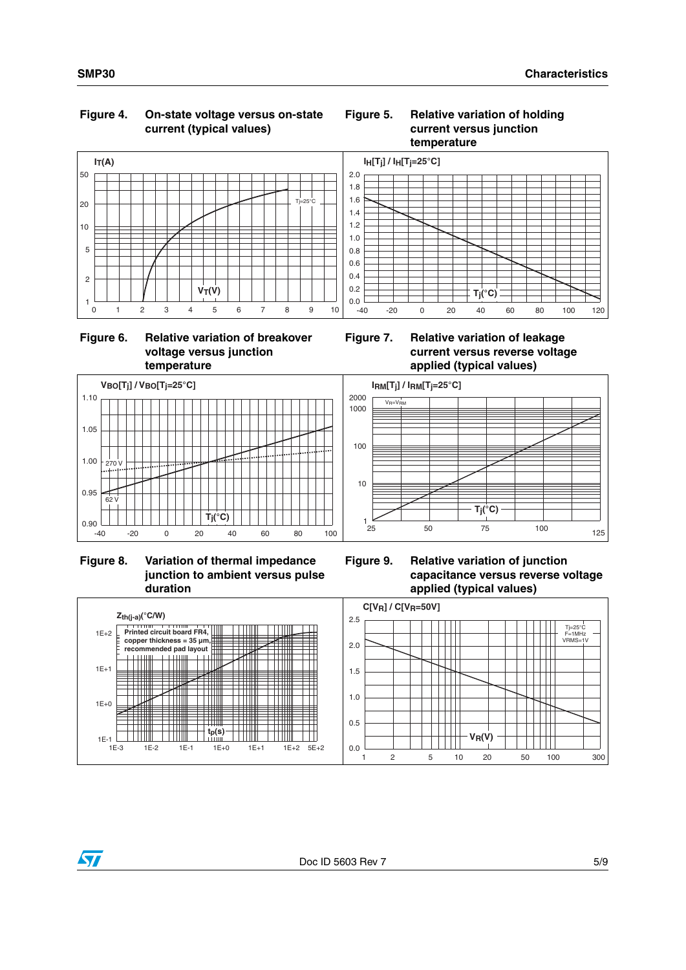#### **Figure 4. On-state voltage versus on-state current (typical values)**

#### **Figure 5. Relative variation of holding current versus junction temperature**



#### **Figure 6. Relative variation of breakover voltage versus junction temperature**





 **Figure 8. Variation of thermal impedance junction to ambient versus pulse duration**



**Figure 9. Relative variation of junction capacitance versus reverse voltage applied (typical values)**



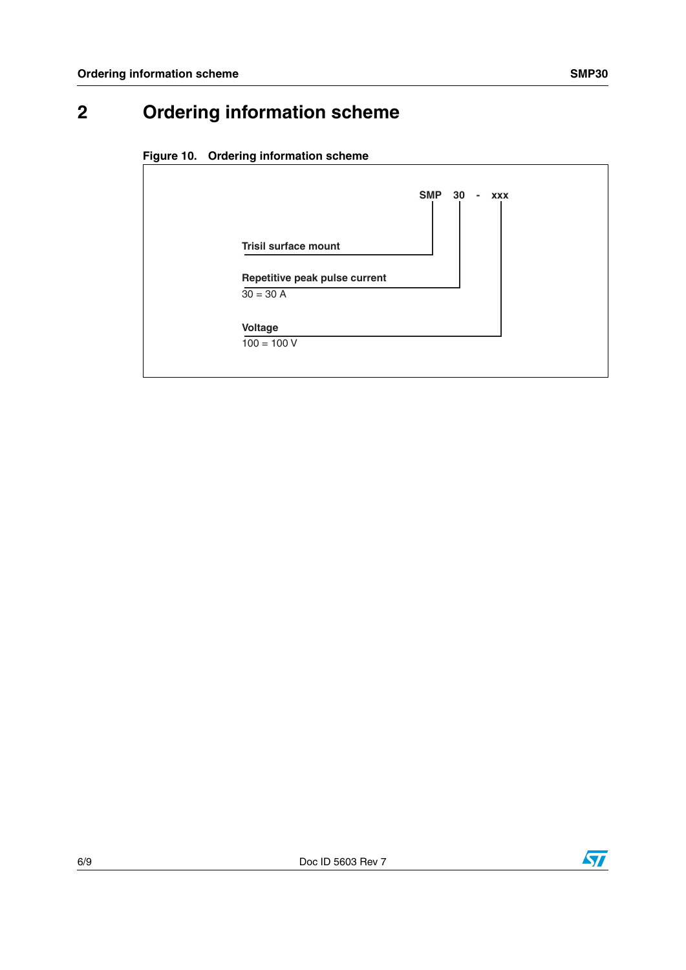### **2 Ordering information scheme**





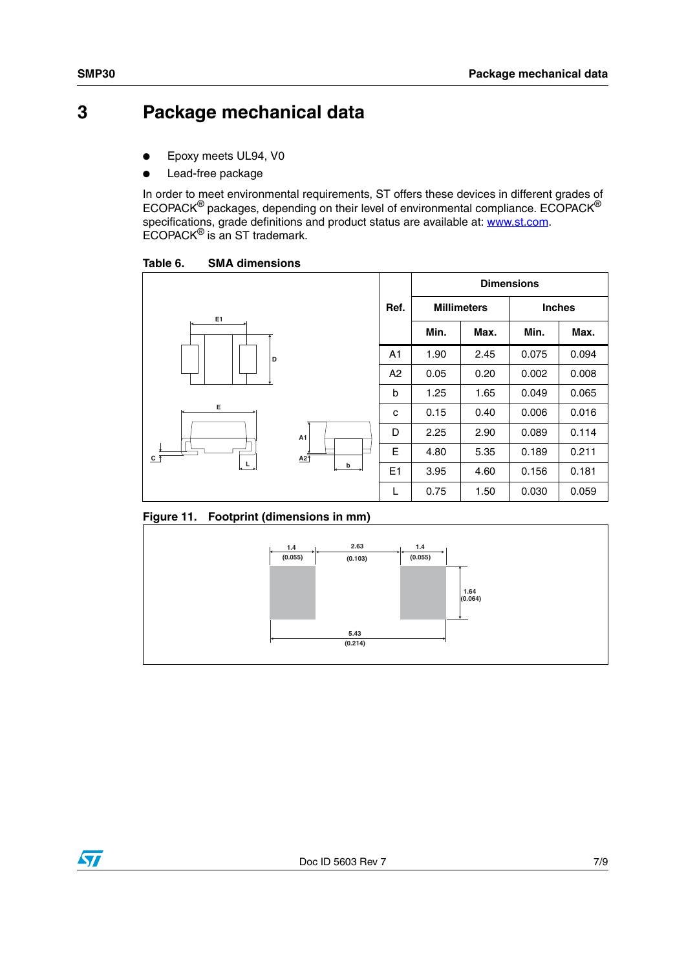### **3 Package mechanical data**

- Epoxy meets UL94, V0
- Lead-free package

In order to meet environmental requirements, ST offers these devices in different grades of ECOPACK® packages, depending on their level of environmental compliance. ECOPACK® specifications, grade definitions and product status are available at: **www.st.com**. ECOPACK® is an ST trademark.

Table 6. **SMA dimensions** 







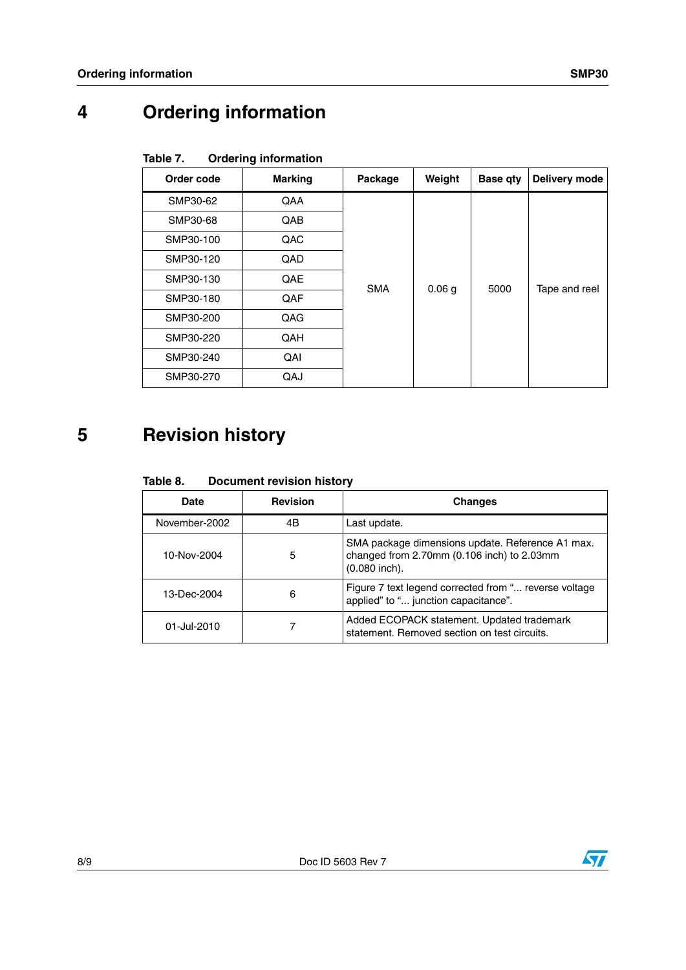## **4 Ordering information**

| Order code | <b>Marking</b> | Package    | Weight            | <b>Base qty</b> | Delivery mode |
|------------|----------------|------------|-------------------|-----------------|---------------|
| SMP30-62   | QAA            |            |                   |                 |               |
| SMP30-68   | QAB            |            |                   | 5000            | Tape and reel |
| SMP30-100  | QAC            | <b>SMA</b> | 0.06 <sub>g</sub> |                 |               |
| SMP30-120  | QAD            |            |                   |                 |               |
| SMP30-130  | QAE            |            |                   |                 |               |
| SMP30-180  | QAF            |            |                   |                 |               |
| SMP30-200  | QAG            |            |                   |                 |               |
| SMP30-220  | QAH            |            |                   |                 |               |
| SMP30-240  | QAI            |            |                   |                 |               |
| SMP30-270  | QAJ            |            |                   |                 |               |

#### Table 7. **Ordering information**

### **5 Revision history**

#### Table 8. **Document revision history**

| Date          | <b>Revision</b> | <b>Changes</b>                                                                                                    |
|---------------|-----------------|-------------------------------------------------------------------------------------------------------------------|
| November-2002 | 4B              | Last update.                                                                                                      |
| 10-Nov-2004   | 5               | SMA package dimensions update. Reference A1 max.<br>changed from 2.70mm (0.106 inch) to 2.03mm<br>$(0.080$ inch). |
| 13-Dec-2004   | 6               | Figure 7 text legend corrected from " reverse voltage<br>applied" to " junction capacitance".                     |
| 01-Jul-2010   |                 | Added ECOPACK statement. Updated trademark<br>statement. Removed section on test circuits.                        |